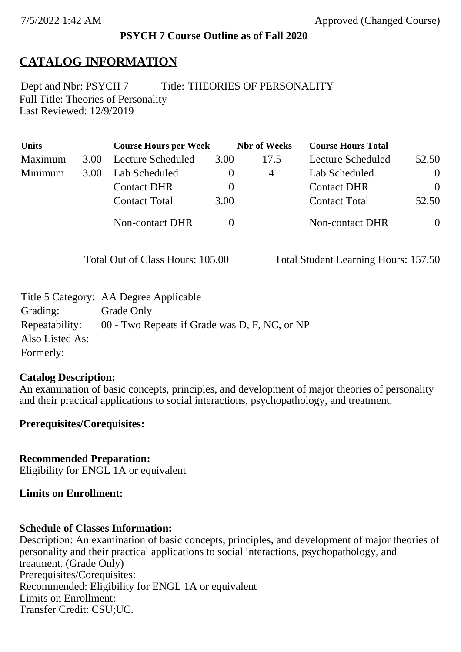## **PSYCH 7 Course Outline as of Fall 2020**

# **CATALOG INFORMATION**

Full Title: Theories of Personality Last Reviewed: 12/9/2019 Dept and Nbr: PSYCH 7 Title: THEORIES OF PERSONALITY

| <b>Units</b> |      | <b>Course Hours per Week</b> |          | <b>Nbr</b> of Weeks | <b>Course Hours Total</b> |          |
|--------------|------|------------------------------|----------|---------------------|---------------------------|----------|
| Maximum      | 3.00 | Lecture Scheduled            | 3.00     | 17.5                | Lecture Scheduled         | 52.50    |
| Minimum      | 3.00 | Lab Scheduled                |          | 4                   | Lab Scheduled             | $\theta$ |
|              |      | <b>Contact DHR</b>           | $\theta$ |                     | <b>Contact DHR</b>        | $\Omega$ |
|              |      | <b>Contact Total</b>         | 3.00     |                     | <b>Contact Total</b>      | 52.50    |
|              |      | Non-contact DHR              |          |                     | <b>Non-contact DHR</b>    | $\theta$ |

Total Out of Class Hours: 105.00 Total Student Learning Hours: 157.50

|                 | Title 5 Category: AA Degree Applicable        |
|-----------------|-----------------------------------------------|
| Grading:        | Grade Only                                    |
| Repeatability:  | 00 - Two Repeats if Grade was D, F, NC, or NP |
| Also Listed As: |                                               |
| Formerly:       |                                               |

#### **Catalog Description:**

An examination of basic concepts, principles, and development of major theories of personality and their practical applications to social interactions, psychopathology, and treatment.

## **Prerequisites/Corequisites:**

**Recommended Preparation:** Eligibility for ENGL 1A or equivalent

## **Limits on Enrollment:**

## **Schedule of Classes Information:**

Description: An examination of basic concepts, principles, and development of major theories of personality and their practical applications to social interactions, psychopathology, and treatment. (Grade Only) Prerequisites/Corequisites: Recommended: Eligibility for ENGL 1A or equivalent Limits on Enrollment: Transfer Credit: CSU;UC.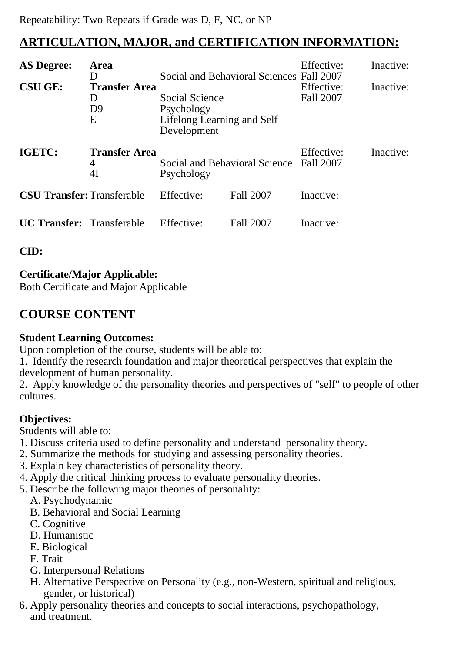# **ARTICULATION, MAJOR, and CERTIFICATION INFORMATION:**

| <b>AS Degree:</b><br><b>CSU GE:</b> | Area<br>D<br><b>Transfer Area</b><br>D<br>D <sub>9</sub><br>Ε | Social Science<br>Psychology<br>Lifelong Learning and Self<br>Development | Social and Behavioral Sciences Fall 2007 | Effective:<br>Effective:<br>Fall 2007 | Inactive:<br>Inactive: |
|-------------------------------------|---------------------------------------------------------------|---------------------------------------------------------------------------|------------------------------------------|---------------------------------------|------------------------|
| IGETC:                              | <b>Transfer Area</b><br>4<br>4I                               | Social and Behavioral Science<br>Psychology                               |                                          | Effective:<br>Fall 2007               | Inactive:              |
| <b>CSU Transfer: Transferable</b>   |                                                               | Effective:                                                                | Fall 2007                                | Inactive:                             |                        |
| <b>UC Transfer:</b> Transferable    |                                                               | Effective:                                                                | Fall 2007                                | Inactive:                             |                        |

**CID:**

# **Certificate/Major Applicable:**

[Both Certificate and Major Applicable](SR_ClassCheck.aspx?CourseKey=PSYCH7)

# **COURSE CONTENT**

# **Student Learning Outcomes:**

Upon completion of the course, students will be able to:

1. Identify the research foundation and major theoretical perspectives that explain the development of human personality.

2. Apply knowledge of the personality theories and perspectives of "self" to people of other cultures.

# **Objectives:**

Students will able to:

- 1. Discuss criteria used to define personality and understand personality theory.
- 2. Summarize the methods for studying and assessing personality theories.
- 3. Explain key characteristics of personality theory.
- 4. Apply the critical thinking process to evaluate personality theories.
- 5. Describe the following major theories of personality:
	- A. Psychodynamic
	- B. Behavioral and Social Learning
	- C. Cognitive
	- D. Humanistic
	- E. Biological
	- F. Trait
	- G. Interpersonal Relations
	- H. Alternative Perspective on Personality (e.g., non-Western, spiritual and religious, gender, or historical)
- 6. Apply personality theories and concepts to social interactions, psychopathology, and treatment.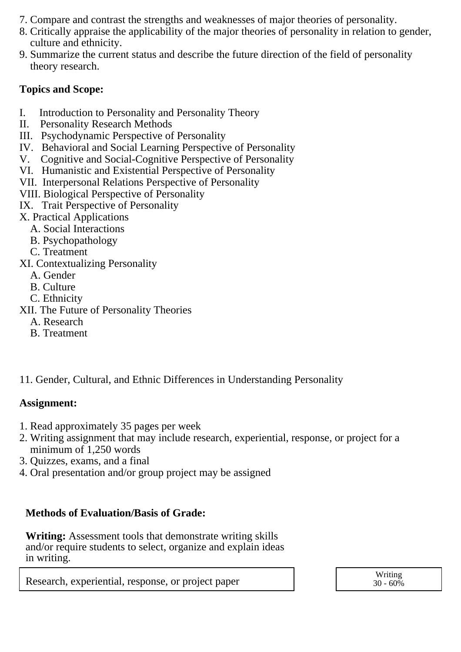- 7. Compare and contrast the strengths and weaknesses of major theories of personality.
- 8. Critically appraise the applicability of the major theories of personality in relation to gender, culture and ethnicity.
- 9. Summarize the current status and describe the future direction of the field of personality theory research.

## **Topics and Scope:**

- I. Introduction to Personality and Personality Theory
- II. Personality Research Methods
- III. Psychodynamic Perspective of Personality
- IV. Behavioral and Social Learning Perspective of Personality
- V. Cognitive and Social-Cognitive Perspective of Personality
- VI. Humanistic and Existential Perspective of Personality
- VII. Interpersonal Relations Perspective of Personality
- VIII. Biological Perspective of Personality
- IX. Trait Perspective of Personality
- X. Practical Applications
	- A. Social Interactions
	- B. Psychopathology
	- C. Treatment

XI. Contextualizing Personality

- A. Gender
- B. Culture
- C. Ethnicity
- XII. The Future of Personality Theories
	- A. Research
	- B. Treatment
- 11. Gender, Cultural, and Ethnic Differences in Understanding Personality

## **Assignment:**

- 1. Read approximately 35 pages per week
- 2. Writing assignment that may include research, experiential, response, or project for a minimum of 1,250 words
- 3. Quizzes, exams, and a final
- 4. Oral presentation and/or group project may be assigned

# **Methods of Evaluation/Basis of Grade:**

**Writing:** Assessment tools that demonstrate writing skills and/or require students to select, organize and explain ideas in writing.

Research, experiential, response, or project paper and the set of the second vertiling writing

 $30 - 60\%$